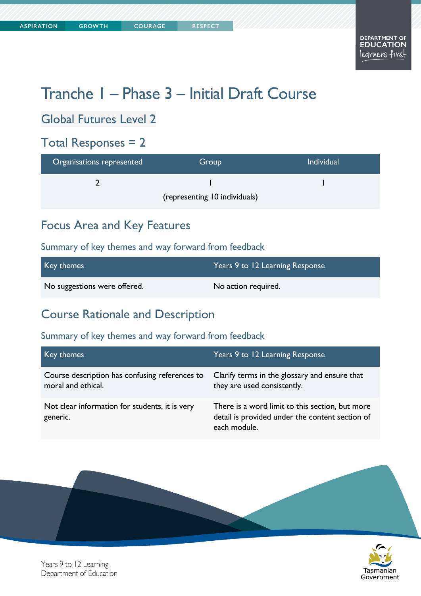# Tranche 1 – Phase 3 – Initial Draft Course

# Global Futures Level 2

# Total Responses = 2

| Organisations represented     | Group | <b>Individual</b> |
|-------------------------------|-------|-------------------|
|                               |       |                   |
| (representing 10 individuals) |       |                   |

### Focus Area and Key Features

### Summary of key themes and way forward from feedback

| Key themes                   | Years 9 to 12 Learning Response |
|------------------------------|---------------------------------|
| No suggestions were offered. | No action required.             |

### Course Rationale and Description

| Key themes                                                           | Years 9 to 12 Learning Response                                                                                    |
|----------------------------------------------------------------------|--------------------------------------------------------------------------------------------------------------------|
| Course description has confusing references to<br>moral and ethical. | Clarify terms in the glossary and ensure that<br>they are used consistently.                                       |
| Not clear information for students, it is very<br>generic.           | There is a word limit to this section, but more<br>detail is provided under the content section of<br>each module. |



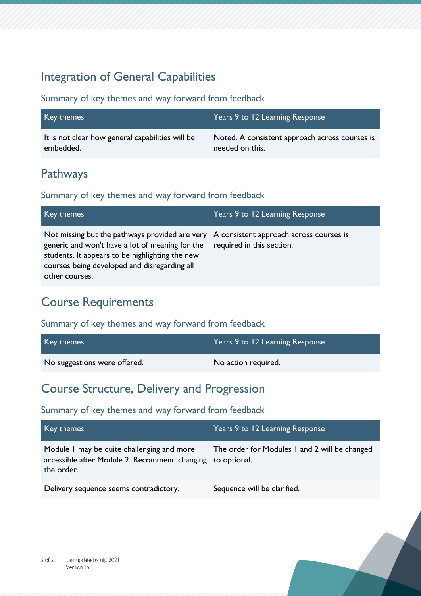### Integration of General Capabilities

### Summary of key themes and way forward from feedback

| Key themes                                       | Years 9 to 12 Learning Response                |
|--------------------------------------------------|------------------------------------------------|
| It is not clear how general capabilities will be | Noted. A consistent approach across courses is |
| embedded.                                        | needed on this.                                |

# Pathways

### Summary of key themes and way forward from feedback

| Key themes                                                                                                                                                                                                                                                     | Years 9 to 12 Learning Response |
|----------------------------------------------------------------------------------------------------------------------------------------------------------------------------------------------------------------------------------------------------------------|---------------------------------|
| Not missing but the pathways provided are very A consistent approach across courses is<br>generic and won't have a lot of meaning for the<br>students. It appears to be highlighting the new<br>courses being developed and disregarding all<br>other courses. | required in this section.       |

# Course Requirements

#### Summary of key themes and way forward from feedback

| Key themes                   | Years 9 to 12 Learning Response |
|------------------------------|---------------------------------|
| No suggestions were offered. | No action required.             |

### Course Structure, Delivery and Progression

| Key themes                                                                                                             | Years 9 to 12 Learning Response               |
|------------------------------------------------------------------------------------------------------------------------|-----------------------------------------------|
| Module I may be quite challenging and more<br>accessible after Module 2. Recommend changing to optional.<br>the order. | The order for Modules 1 and 2 will be changed |
| Delivery sequence seems contradictory.                                                                                 | Sequence will be clarified.                   |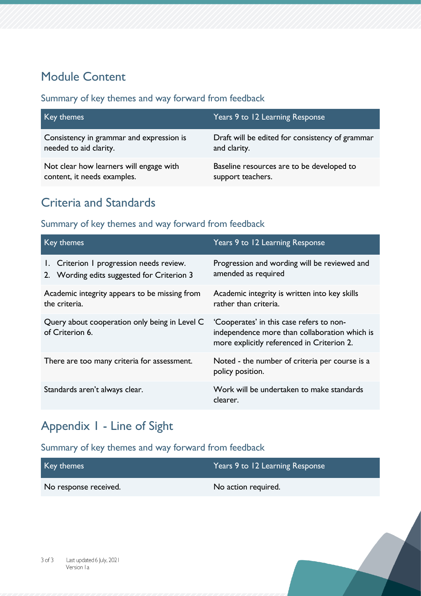# Module Content

#### Summary of key themes and way forward from feedback

| Key themes                               | Years 9 to 12 Learning Response                 |
|------------------------------------------|-------------------------------------------------|
| Consistency in grammar and expression is | Draft will be edited for consistency of grammar |
| needed to aid clarity.                   | and clarity.                                    |
| Not clear how learners will engage with  | Baseline resources are to be developed to       |
| content, it needs examples.              | support teachers.                               |

# Criteria and Standards

### Summary of key themes and way forward from feedback

| Key themes                                                                             | Years 9 to 12 Learning Response                                                                                                         |
|----------------------------------------------------------------------------------------|-----------------------------------------------------------------------------------------------------------------------------------------|
| 1. Criterion I progression needs review.<br>2. Wording edits suggested for Criterion 3 | Progression and wording will be reviewed and<br>amended as required                                                                     |
| Academic integrity appears to be missing from<br>the criteria.                         | Academic integrity is written into key skills<br>rather than criteria.                                                                  |
| Query about cooperation only being in Level C<br>of Criterion 6.                       | 'Cooperates' in this case refers to non-<br>independence more than collaboration which is<br>more explicitly referenced in Criterion 2. |
| There are too many criteria for assessment.                                            | Noted - the number of criteria per course is a<br>policy position.                                                                      |
| Standards aren't always clear.                                                         | Work will be undertaken to make standards<br>clearer.                                                                                   |

# Appendix 1 - Line of Sight

| Key themes            | Years 9 to 12 Learning Response |
|-----------------------|---------------------------------|
| No response received. | No action required.             |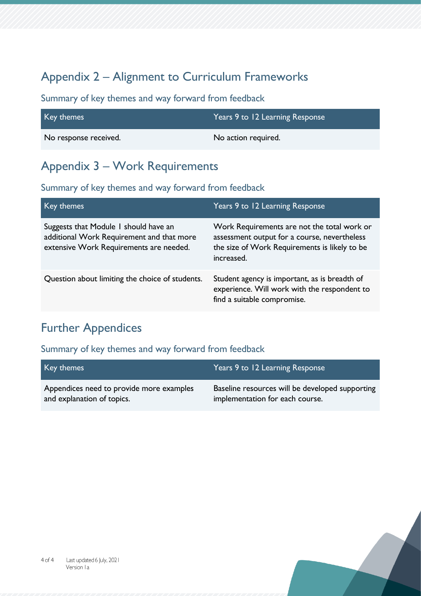# Appendix 2 – Alignment to Curriculum Frameworks

### Summary of key themes and way forward from feedback

| Key themes            | Years 9 to 12 Learning Response |
|-----------------------|---------------------------------|
| No response received. | No action required.             |

# Appendix 3 – Work Requirements

### Summary of key themes and way forward from feedback

| Key themes                                                                                                                    | Years 9 to 12 Learning Response                                                                                                                            |
|-------------------------------------------------------------------------------------------------------------------------------|------------------------------------------------------------------------------------------------------------------------------------------------------------|
| Suggests that Module I should have an<br>additional Work Requirement and that more<br>extensive Work Requirements are needed. | Work Requirements are not the total work or<br>assessment output for a course, nevertheless<br>the size of Work Requirements is likely to be<br>increased. |
| Question about limiting the choice of students.                                                                               | Student agency is important, as is breadth of<br>experience. Will work with the respondent to<br>find a suitable compromise.                               |

# Further Appendices

| Key themes                               | Years 9 to 12 Learning Response                 |
|------------------------------------------|-------------------------------------------------|
| Appendices need to provide more examples | Baseline resources will be developed supporting |
| and explanation of topics.               | implementation for each course.                 |